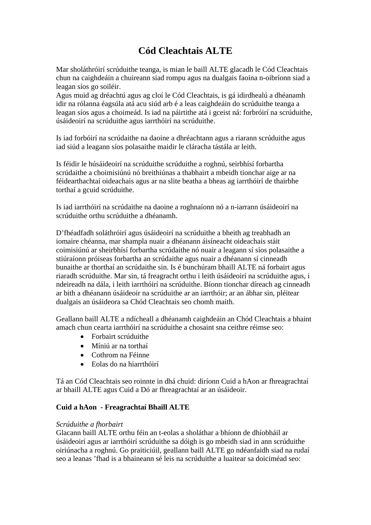# **Cód Cleachtais ALTE**

Mar sholáthróirí scrúduithe teanga, is mian le baill ALTE glacadh le Cód Cleachtais chun na caighdeáin a chuireann siad rompu agus na dualgais faoina n-oibríonn siad a leagan síos go soiléir.

Agus muid ag dréachtú agus ag cloí le Cód Cleachtais, is gá idirdhealú a dhéanamh idir na rólanna éagsúla atá acu siúd arb é a leas caighdeáin do scrúduithe teanga a leagan síos agus a choimeád. Is iad na páirtithe atá i gceist ná: forbróirí na scrúduithe, úsáideoirí na scrúduithe agus iarrthóirí na scrúduithe.

Is iad forbóirí na scrúdaithe na daoine a dhréachtann agus a riarann scrúduithe agus iad siúd a leagann síos polasaithe maidir le cláracha tástála ar leith.

Is féidir le húsáideoirí na scrúduithe scrúduithe a roghnú, seirbhísí forbartha scrúdaithe a choimisiúnú nó breithiúnas a thabhairt a mbeidh tionchar aige ar na féidearthachtaí oideachais agus ar na slite beatha a bheas ag iarrthóirí de thairbhe torthaí a gcuid scrúduithe.

Is iad iarrthóirí na scrúdaithe na daoine a roghnaíonn nó a n-iarrann úsáideoirí na scrúduithe orthu scrúduithe a dhéanamh.

D'fhéadfadh soláthróirí agus úsáideoirí na scrúduithe a bheith ag treabhadh an iomaire chéanna, mar shampla nuair a dhéanann áisíneacht oideachais stáit coimisiúnú ar sheirbhísí forbartha scrúdaithe nó nuair a leagann sí síos polasaithe a stiúraíonn próiseas forbartha an scrúdaithe agus nuair a dhéanann sí cinneadh bunaithe ar thorthaí an scrúdaithe sin. Is é bunchúram bhaill ALTE ná forbairt agus riaradh scrúduithe. Mar sin, tá freagracht orthu i leith úsáideoirí na scrúduithe agus, i ndeireadh na dála, i leith iarrthóirí na scrúduithe. Bíonn tionchar díreach ag cinneadh ar bith a dhéanann úsáideoir na scrúduithe ar an iarrthóir; ar an ábhar sin, pléitear dualgais an úsáideora sa Chód Cleachtais seo chomh maith.

Geallann baill ALTE a ndícheall a dhéanamh caighdeáin an Chód Cleachtais a bhaint amach chun cearta iarrthóirí na scrúduithe a chosaint sna ceithre réimse seo:

- Forbairt scrúduithe
- Míniú ar na torthaí
- Cothrom na Féinne
- Eolas do na hiarrthóirí

Tá an Cód Cleachtais seo roinnte in dhá chuid: diríonn Cuid a hAon ar fhreagrachtaí ar bhaill ALTE agus Cuid a Dó ar fhreagrachtaí ar an úsáideoir.

## **Cuid a hAon - Freagrachtaí Bhaill ALTE**

### *Scrúduithe a fhorbairt*

Glacann baill ALTE orthu féin an t-eolas a sholáthar a bhíonn de dhíobháil ar úsáideoirí agus ar iarrthóirí scrúduithe sa dóigh is go mbeidh siad in ann scrúduithe oiriúnacha a roghnú. Go praiticiúil, geallann baill ALTE go ndéanfaidh siad na rudaí seo a leanas 'fhad is a bhaineann sé leis na scrúduithe a luaitear sa doiciméad seo: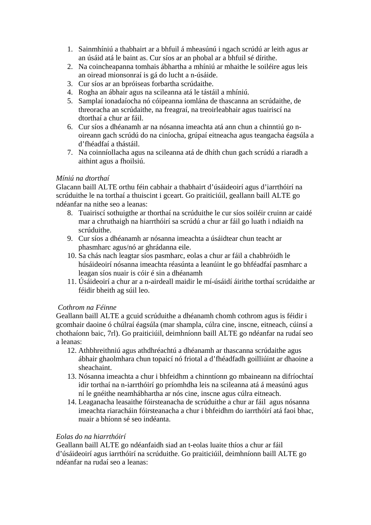- 1. Sainmhíniú a thabhairt ar a bhfuil á mheasúnú i ngach scrúdú ar leith agus ar an úsáid atá le baint as. Cur síos ar an phobal ar a bhfuil sé dírithe.
- 2. Na coincheapanna tomhais ábhartha a mhíniú ar mhaithe le soiléire agus leis an oiread mionsonraí is gá do lucht a n-úsáide.
- 3. Cur síos ar an bpróiseas forbartha scrúdaithe.
- 4. Rogha an ábhair agus na scileanna atá le tástáil a mhíniú.
- 5. Samplaí ionadaíocha nó cóipeanna iomlána de thascanna an scrúdaithe, de threoracha an scrúdaithe, na freagraí, na treoirleabhair agus tuairiscí na dtorthaí a chur ar fáil.
- 6. Cur síos a dhéanamh ar na nósanna imeachta atá ann chun a chinntiú go noireann gach scrúdú do na ciníocha, grúpaí eitneacha agus teangacha éagsúla a d'fhéadfaí a thástáil.
- 7. Na coinníollacha agus na scileanna atá de dhíth chun gach scrúdú a riaradh a aithint agus a fhoilsiú.

### *Míniú na dtorthaí*

Glacann baill ALTE orthu féin cabhair a thabhairt d'úsáideoirí agus d'iarrthóirí na scrúduithe le na torthaí a thuiscint i gceart. Go praiticiúil, geallann baill ALTE go ndéanfar na nithe seo a leanas:

- 8. Tuairiscí sothuigthe ar thorthaí na scrúduithe le cur síos soiléir cruinn ar caidé mar a chruthaigh na hiarrthóirí sa scrúdú a chur ar fáil go luath i ndiaidh na scrúduithe.
- 9. Cur síos a dhéanamh ar nósanna imeachta a úsáidtear chun teacht ar phasmharc agus/nó ar ghrádanna eile.
- 10. Sa chás nach leagtar síos pasmharc, eolas a chur ar fáil a chabhróidh le húsáideoirí nósanna imeachta réasúnta a leanúint le go bhféadfaí pasmharc a leagan síos nuair is cóir é sin a dhéanamh
- 11. Úsáideoirí a chur ar a n-airdeall maidir le mí-úsáidí áirithe torthaí scrúdaithe ar féidir bheith ag súil leo.

### *Cothrom na Féinne*

Geallann baill ALTE a gcuid scrúduithe a dhéanamh chomh cothrom agus is féidir i gcomhair daoine ó chúlraí éagsúla (mar shampla, cúlra cine, inscne, eitneach, cúinsí a chothaíonn baic, 7rl). Go praiticiúil, deimhníonn baill ALTE go ndéanfar na rudaí seo a leanas:

- 12. Athbhreithniú agus athdhréachtú a dhéanamh ar thascanna scrúdaithe agus ábhair ghaolmhara chun topaicí nó friotal a d'fhéadfadh goilliúint ar dhaoine a sheachaint.
- 13. Nósanna imeachta a chur i bhfeidhm a chinntíonn go mbaineann na difríochtaí idir torthaí na n-iarrthóirí go príomhdha leis na scileanna atá á measúnú agus ní le gnéithe neamhábhartha ar nós cine, inscne agus cúlra eitneach.
- 14. Leaganacha leasaithe fóirsteanacha de scrúduithe a chur ar fáil agus nósanna imeachta riaracháin fóirsteanacha a chur i bhfeidhm do iarrthóirí atá faoi bhac, nuair a bhíonn sé seo indéanta.

### *Eolas do na hiarrthóirí*

Geallann baill ALTE go ndéanfaidh siad an t-eolas luaite thíos a chur ar fáil d'úsáideoirí agus iarrthóirí na scrúduithe. Go praiticiúil, deimhníonn baill ALTE go ndéanfar na rudaí seo a leanas: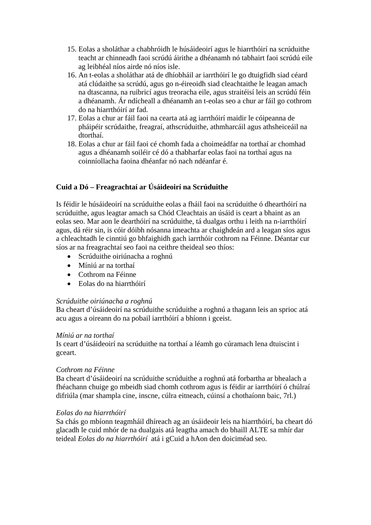- 15. Eolas a sholáthar a chabhróidh le húsáideoirí agus le hiarrthóirí na scrúduithe teacht ar chinneadh faoi scrúdú áirithe a dhéanamh nó tabhairt faoi scrúdú eile ag leibhéal níos airde nó níos isle.
- 16. An t-eolas a sholáthar atá de dhíobháil ar iarrthóirí le go dtuigfidh siad céard atá clúdaithe sa scrúdú, agus go n-éireoidh siad cleachtaithe le leagan amach na dtascanna, na ruibricí agus treoracha eile, agus straitéisí leis an scrúdú féin a dhéanamh. Ár ndícheall a dhéanamh an t-eolas seo a chur ar fáil go cothrom do na hiarrthóirí ar fad.
- 17. Eolas a chur ar fáil faoi na cearta atá ag iarrthóirí maidir le cóipeanna de pháipéir scrúdaithe, freagraí, athscrúduithe, athmharcáil agus athsheiceáil na dtorthaí.
- 18. Eolas a chur ar fáil faoi cé chomh fada a choimeádfar na torthaí ar chomhad agus a dhéanamh soiléir cé dó a thabharfar eolas faoi na torthaí agus na coinníollacha faoina dhéanfar nó nach ndéanfar é.

# **Cuid a Dó – Freagrachtaí ar Úsáideoirí na Scrúduithe**

Is féidir le húsáideoirí na scrúduithe eolas a fháil faoi na scrúduithe ó dhearthóirí na scrúduithe, agus leagtar amach sa Chód Cleachtais an úsáid is ceart a bhaint as an eolas seo. Mar aon le dearthóirí na scrúduithe, tá dualgas orthu i leith na n-iarrthóirí agus, dá réir sin, is cóir dóibh nósanna imeachta ar chaighdeán ard a leagan síos agus a chleachtadh le cinntiú go bhfaighidh gach iarrthóir cothrom na Féinne. Déantar cur síos ar na freagrachtaí seo faoi na ceithre theideal seo thíos:

- Scrúduithe oiriúnacha a roghnú
- Míniú ar na torthaí
- Cothrom na Féinne
- Eolas do na hiarrthóirí

### *Scrúduithe oiriúnacha a roghnú*

Ba cheart d'úsáideoirí na scrúduithe scrúduithe a roghnú a thagann leis an sprioc atá acu agus a oireann do na pobail iarrthóirí a bhíonn i gceist.

### *Míniú ar na torthaí*

Is ceart d'úsáideoirí na scrúduithe na torthaí a léamh go cúramach lena dtuiscint i gceart.

### *Cothrom na Féinne*

Ba cheart d'úsáideoirí na scrúduithe scrúduithe a roghnú atá forbartha ar bhealach a fhéachann chuige go mbeidh siad chomh cothrom agus is féidir ar iarrthóirí ó chúlraí difriúla (mar shampla cine, inscne, cúlra eitneach, cúinsí a chothaíonn baic, 7rl.)

### *Eolas do na hiarrthóirí*

Sa chás go mbíonn teagmháil dhíreach ag an úsáideoir leis na hiarrthóirí, ba cheart dó glacadh le cuid mhór de na dualgais atá leagtha amach do bhaill ALTE sa mhír dar teideal *Eolas do na hiarrthóirí* atá i gCuid a hAon den doiciméad seo.